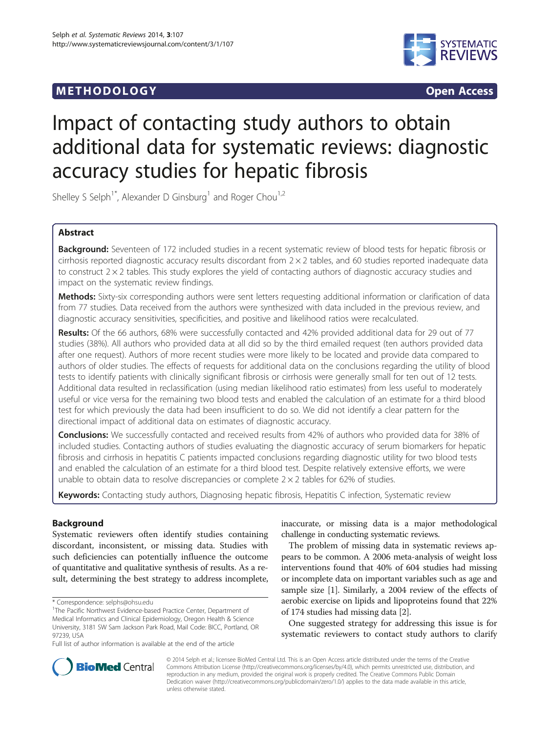# M E THODO L OGY Open Access



# Impact of contacting study authors to obtain additional data for systematic reviews: diagnostic accuracy studies for hepatic fibrosis

Shelley S Selph<sup>1\*</sup>, Alexander D Ginsburg<sup>1</sup> and Roger Chou<sup>1,2</sup>

# Abstract

Background: Seventeen of 172 included studies in a recent systematic review of blood tests for hepatic fibrosis or cirrhosis reported diagnostic accuracy results discordant from  $2 \times 2$  tables, and 60 studies reported inadequate data to construct  $2 \times 2$  tables. This study explores the yield of contacting authors of diagnostic accuracy studies and impact on the systematic review findings.

Methods: Sixty-six corresponding authors were sent letters requesting additional information or clarification of data from 77 studies. Data received from the authors were synthesized with data included in the previous review, and diagnostic accuracy sensitivities, specificities, and positive and likelihood ratios were recalculated.

Results: Of the 66 authors, 68% were successfully contacted and 42% provided additional data for 29 out of 77 studies (38%). All authors who provided data at all did so by the third emailed request (ten authors provided data after one request). Authors of more recent studies were more likely to be located and provide data compared to authors of older studies. The effects of requests for additional data on the conclusions regarding the utility of blood tests to identify patients with clinically significant fibrosis or cirrhosis were generally small for ten out of 12 tests. Additional data resulted in reclassification (using median likelihood ratio estimates) from less useful to moderately useful or vice versa for the remaining two blood tests and enabled the calculation of an estimate for a third blood test for which previously the data had been insufficient to do so. We did not identify a clear pattern for the directional impact of additional data on estimates of diagnostic accuracy.

**Conclusions:** We successfully contacted and received results from 42% of authors who provided data for 38% of included studies. Contacting authors of studies evaluating the diagnostic accuracy of serum biomarkers for hepatic fibrosis and cirrhosis in hepatitis C patients impacted conclusions regarding diagnostic utility for two blood tests and enabled the calculation of an estimate for a third blood test. Despite relatively extensive efforts, we were unable to obtain data to resolve discrepancies or complete  $2 \times 2$  tables for 62% of studies.

Keywords: Contacting study authors, Diagnosing hepatic fibrosis, Hepatitis C infection, Systematic review

# Background

Systematic reviewers often identify studies containing discordant, inconsistent, or missing data. Studies with such deficiencies can potentially influence the outcome of quantitative and qualitative synthesis of results. As a result, determining the best strategy to address incomplete,

inaccurate, or missing data is a major methodological challenge in conducting systematic reviews.

The problem of missing data in systematic reviews appears to be common. A 2006 meta-analysis of weight loss interventions found that 40% of 604 studies had missing or incomplete data on important variables such as age and sample size [\[1\]](#page-6-0). Similarly, a 2004 review of the effects of aerobic exercise on lipids and lipoproteins found that 22% of 174 studies had missing data [\[2](#page-6-0)].

One suggested strategy for addressing this issue is for systematic reviewers to contact study authors to clarify



© 2014 Selph et al.; licensee BioMed Central Ltd. This is an Open Access article distributed under the terms of the Creative Commons Attribution License [\(http://creativecommons.org/licenses/by/4.0\)](http://creativecommons.org/licenses/by/4.0), which permits unrestricted use, distribution, and reproduction in any medium, provided the original work is properly credited. The Creative Commons Public Domain Dedication waiver [\(http://creativecommons.org/publicdomain/zero/1.0/](http://creativecommons.org/publicdomain/zero/1.0/)) applies to the data made available in this article, unless otherwise stated.

<sup>\*</sup> Correspondence: [selphs@ohsu.edu](mailto:selphs@ohsu.edu) <sup>1</sup>

<sup>&</sup>lt;sup>1</sup>The Pacific Northwest Evidence-based Practice Center, Department of Medical Informatics and Clinical Epidemiology, Oregon Health & Science University, 3181 SW Sam Jackson Park Road, Mail Code: BICC, Portland, OR 97239, USA

Full list of author information is available at the end of the article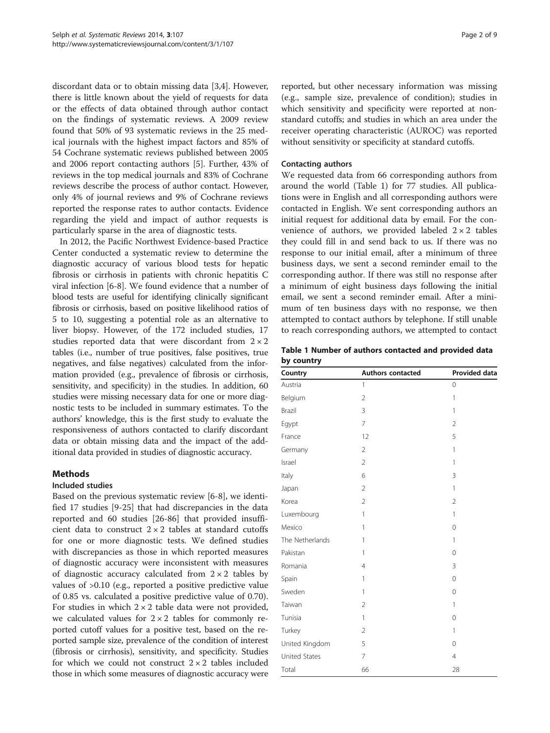<span id="page-1-0"></span>discordant data or to obtain missing data [\[3,4](#page-6-0)]. However, there is little known about the yield of requests for data or the effects of data obtained through author contact on the findings of systematic reviews. A 2009 review found that 50% of 93 systematic reviews in the 25 medical journals with the highest impact factors and 85% of 54 Cochrane systematic reviews published between 2005 and 2006 report contacting authors [\[5](#page-6-0)]. Further, 43% of reviews in the top medical journals and 83% of Cochrane reviews describe the process of author contact. However, only 4% of journal reviews and 9% of Cochrane reviews reported the response rates to author contacts. Evidence regarding the yield and impact of author requests is particularly sparse in the area of diagnostic tests.

In 2012, the Pacific Northwest Evidence-based Practice Center conducted a systematic review to determine the diagnostic accuracy of various blood tests for hepatic fibrosis or cirrhosis in patients with chronic hepatitis C viral infection [\[6](#page-6-0)-[8\]](#page-6-0). We found evidence that a number of blood tests are useful for identifying clinically significant fibrosis or cirrhosis, based on positive likelihood ratios of 5 to 10, suggesting a potential role as an alternative to liver biopsy. However, of the 172 included studies, 17 studies reported data that were discordant from  $2 \times 2$ tables (i.e., number of true positives, false positives, true negatives, and false negatives) calculated from the information provided (e.g., prevalence of fibrosis or cirrhosis, sensitivity, and specificity) in the studies. In addition, 60 studies were missing necessary data for one or more diagnostic tests to be included in summary estimates. To the authors' knowledge, this is the first study to evaluate the responsiveness of authors contacted to clarify discordant data or obtain missing data and the impact of the additional data provided in studies of diagnostic accuracy.

# Methods

# Included studies

Based on the previous systematic review [[6-8](#page-6-0)], we identified 17 studies [[9](#page-6-0)[-25](#page-7-0)] that had discrepancies in the data reported and 60 studies [\[26](#page-7-0)[-86](#page-8-0)] that provided insufficient data to construct  $2 \times 2$  tables at standard cutoffs for one or more diagnostic tests. We defined studies with discrepancies as those in which reported measures of diagnostic accuracy were inconsistent with measures of diagnostic accuracy calculated from  $2 \times 2$  tables by values of >0.10 (e.g., reported a positive predictive value of 0.85 vs. calculated a positive predictive value of 0.70). For studies in which  $2 \times 2$  table data were not provided, we calculated values for  $2 \times 2$  tables for commonly reported cutoff values for a positive test, based on the reported sample size, prevalence of the condition of interest (fibrosis or cirrhosis), sensitivity, and specificity. Studies for which we could not construct  $2 \times 2$  tables included those in which some measures of diagnostic accuracy were reported, but other necessary information was missing (e.g., sample size, prevalence of condition); studies in which sensitivity and specificity were reported at nonstandard cutoffs; and studies in which an area under the receiver operating characteristic (AUROC) was reported without sensitivity or specificity at standard cutoffs.

# Contacting authors

We requested data from 66 corresponding authors from around the world (Table 1) for 77 studies. All publications were in English and all corresponding authors were contacted in English. We sent corresponding authors an initial request for additional data by email. For the convenience of authors, we provided labeled  $2 \times 2$  tables they could fill in and send back to us. If there was no response to our initial email, after a minimum of three business days, we sent a second reminder email to the corresponding author. If there was still no response after a minimum of eight business days following the initial email, we sent a second reminder email. After a minimum of ten business days with no response, we then attempted to contact authors by telephone. If still unable to reach corresponding authors, we attempted to contact

Table 1 Number of authors contacted and provided data by country

| Country              | <b>Authors contacted</b> | Provided data  |  |
|----------------------|--------------------------|----------------|--|
| Austria              | $\mathbf{1}$             | $\mathbf 0$    |  |
| Belgium              | $\overline{2}$           | $\mathbf{1}$   |  |
| Brazil               | 3                        | 1              |  |
| Egypt                | $\overline{7}$           | $\overline{2}$ |  |
| France               | 12                       | 5              |  |
| Germany              | $\overline{2}$           | 1              |  |
| Israel               | $\overline{2}$           | 1              |  |
| Italy                | 6                        | 3              |  |
| Japan                | $\overline{2}$           | $\mathbf{1}$   |  |
| Korea                | $\overline{2}$           | $\overline{2}$ |  |
| Luxembourg           | 1                        | $\mathbf{1}$   |  |
| Mexico               | 1                        | $\Omega$       |  |
| The Netherlands      | 1                        | 1              |  |
| Pakistan             | $\mathbf{1}$             | $\mathbf 0$    |  |
| Romania              | $\overline{4}$           | 3              |  |
| Spain                | 1                        | $\mathbf 0$    |  |
| Sweden               | 1                        | $\Omega$       |  |
| Taiwan               | $\overline{2}$           | 1              |  |
| Tunisia              | 1                        | $\Omega$       |  |
| Turkey               | $\overline{2}$           | 1              |  |
| United Kingdom       | 5                        | $\Omega$       |  |
| <b>United States</b> | 7                        | $\overline{4}$ |  |
| Total                | 66                       | 28             |  |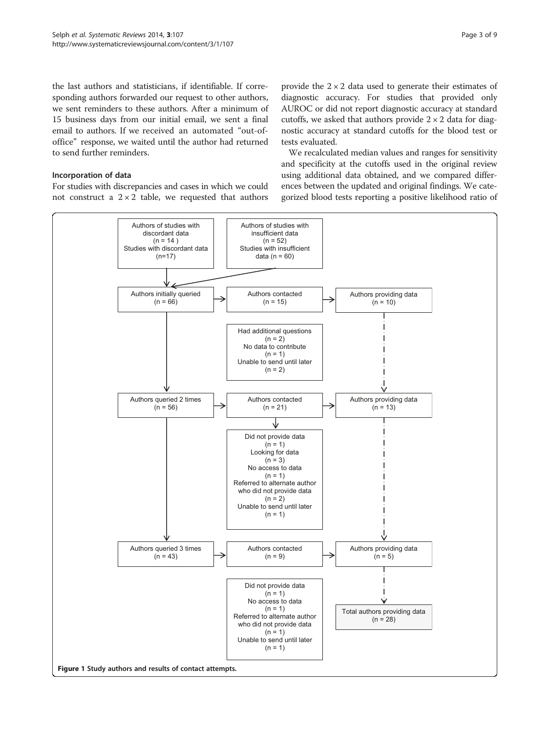<span id="page-2-0"></span>the last authors and statisticians, if identifiable. If corresponding authors forwarded our request to other authors, we sent reminders to these authors. After a minimum of 15 business days from our initial email, we sent a final email to authors. If we received an automated "out-ofoffice" response, we waited until the author had returned to send further reminders.

# Incorporation of data

For studies with discrepancies and cases in which we could not construct a  $2 \times 2$  table, we requested that authors provide the  $2 \times 2$  data used to generate their estimates of diagnostic accuracy. For studies that provided only AUROC or did not report diagnostic accuracy at standard cutoffs, we asked that authors provide  $2 \times 2$  data for diagnostic accuracy at standard cutoffs for the blood test or tests evaluated.

We recalculated median values and ranges for sensitivity and specificity at the cutoffs used in the original review using additional data obtained, and we compared differences between the updated and original findings. We categorized blood tests reporting a positive likelihood ratio of

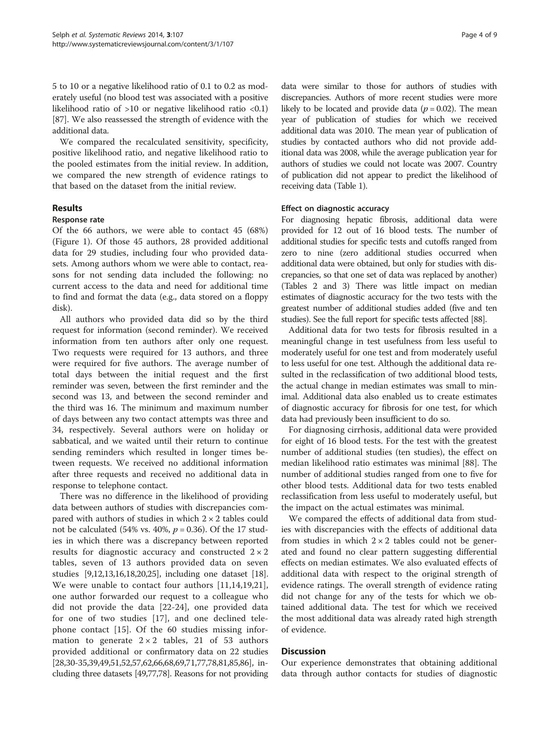5 to 10 or a negative likelihood ratio of 0.1 to 0.2 as moderately useful (no blood test was associated with a positive likelihood ratio of  $>10$  or negative likelihood ratio  $< 0.1$ ) [[87](#page-8-0)]. We also reassessed the strength of evidence with the additional data.

We compared the recalculated sensitivity, specificity, positive likelihood ratio, and negative likelihood ratio to the pooled estimates from the initial review. In addition, we compared the new strength of evidence ratings to that based on the dataset from the initial review.

# Results

# Response rate

Of the 66 authors, we were able to contact 45 (68%) (Figure [1\)](#page-2-0). Of those 45 authors, 28 provided additional data for 29 studies, including four who provided datasets. Among authors whom we were able to contact, reasons for not sending data included the following: no current access to the data and need for additional time to find and format the data (e.g., data stored on a floppy disk).

All authors who provided data did so by the third request for information (second reminder). We received information from ten authors after only one request. Two requests were required for 13 authors, and three were required for five authors. The average number of total days between the initial request and the first reminder was seven, between the first reminder and the second was 13, and between the second reminder and the third was 16. The minimum and maximum number of days between any two contact attempts was three and 34, respectively. Several authors were on holiday or sabbatical, and we waited until their return to continue sending reminders which resulted in longer times between requests. We received no additional information after three requests and received no additional data in response to telephone contact.

There was no difference in the likelihood of providing data between authors of studies with discrepancies compared with authors of studies in which  $2 \times 2$  tables could not be calculated (54% vs. 40%,  $p = 0.36$ ). Of the 17 studies in which there was a discrepancy between reported results for diagnostic accuracy and constructed  $2 \times 2$ tables, seven of 13 authors provided data on seven studies [\[9,12,13,16](#page-6-0)[,18,20,25](#page-7-0)], including one dataset [[18](#page-7-0)]. We were unable to contact four authors [\[11](#page-6-0),[14,](#page-6-0)[19,21](#page-7-0)], one author forwarded our request to a colleague who did not provide the data [[22-24\]](#page-7-0), one provided data for one of two studies [\[17](#page-6-0)], and one declined telephone contact [[15\]](#page-6-0). Of the 60 studies missing information to generate  $2 \times 2$  tables, 21 of 53 authors provided additional or confirmatory data on 22 studies [[28,30](#page-7-0)-[35,39,49,51,52](#page-7-0)[,57,62,66,68,69,71,77,78,81,85,86\]](#page-8-0), including three datasets [[49](#page-7-0)[,77,78\]](#page-8-0). Reasons for not providing

data were similar to those for authors of studies with discrepancies. Authors of more recent studies were more likely to be located and provide data ( $p = 0.02$ ). The mean year of publication of studies for which we received additional data was 2010. The mean year of publication of studies by contacted authors who did not provide additional data was 2008, while the average publication year for authors of studies we could not locate was 2007. Country of publication did not appear to predict the likelihood of receiving data (Table [1](#page-1-0)).

## Effect on diagnostic accuracy

For diagnosing hepatic fibrosis, additional data were provided for 12 out of 16 blood tests. The number of additional studies for specific tests and cutoffs ranged from zero to nine (zero additional studies occurred when additional data were obtained, but only for studies with discrepancies, so that one set of data was replaced by another) (Tables [2](#page-4-0) and [3\)](#page-5-0) There was little impact on median estimates of diagnostic accuracy for the two tests with the greatest number of additional studies added (five and ten studies). See the full report for specific tests affected [\[88\]](#page-8-0).

Additional data for two tests for fibrosis resulted in a meaningful change in test usefulness from less useful to moderately useful for one test and from moderately useful to less useful for one test. Although the additional data resulted in the reclassification of two additional blood tests, the actual change in median estimates was small to minimal. Additional data also enabled us to create estimates of diagnostic accuracy for fibrosis for one test, for which data had previously been insufficient to do so.

For diagnosing cirrhosis, additional data were provided for eight of 16 blood tests. For the test with the greatest number of additional studies (ten studies), the effect on median likelihood ratio estimates was minimal [[88\]](#page-8-0). The number of additional studies ranged from one to five for other blood tests. Additional data for two tests enabled reclassification from less useful to moderately useful, but the impact on the actual estimates was minimal.

We compared the effects of additional data from studies with discrepancies with the effects of additional data from studies in which  $2 \times 2$  tables could not be generated and found no clear pattern suggesting differential effects on median estimates. We also evaluated effects of additional data with respect to the original strength of evidence ratings. The overall strength of evidence rating did not change for any of the tests for which we obtained additional data. The test for which we received the most additional data was already rated high strength of evidence.

# **Discussion**

Our experience demonstrates that obtaining additional data through author contacts for studies of diagnostic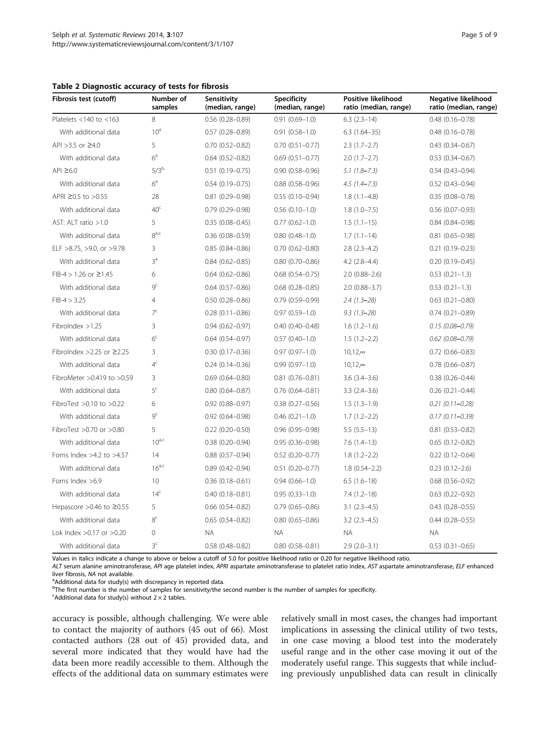<span id="page-4-0"></span>Table 2 Diagnostic accuracy of tests for fibrosis

| Fibrosis test (cutoff)           | Number of<br>samples | Sensitivity<br>(median, range) | <b>Specificity</b><br>(median, range) | <b>Positive likelihood</b><br>ratio (median, range) | Negative likelihood<br>ratio (median, range) |
|----------------------------------|----------------------|--------------------------------|---------------------------------------|-----------------------------------------------------|----------------------------------------------|
| Platelets $<$ 140 to $<$ 163     | 8                    | $0.56(0.28 - 0.89)$            | $0.91(0.69 - 1.0)$                    | $6.3(2.3-14)$                                       | $0.48(0.16 - 0.78)$                          |
| With additional data             | 10 <sup>a</sup>      | $0.57(0.28 - 0.89)$            | $0.91(0.58 - 1.0)$                    | $6.3(1.64 - 35)$                                    | $0.48(0.16 - 0.78)$                          |
| API > 3.5 or ≥4.0                | 5                    | $0.70(0.52 - 0.82)$            | $0.70(0.51 - 0.77)$                   | $2.3(1.7-2.7)$                                      | $0.43(0.34 - 0.67)$                          |
| With additional data             | $6^a$                | $0.64$ $(0.52 - 0.82)$         | $0.69(0.51 - 0.77)$                   | $2.0(1.7-2.7)$                                      | $0.53(0.34 - 0.67)$                          |
| $API \geq 6.0$                   | $5/3^{b}$            | $0.51(0.19 - 0.75)$            | $0.90(0.58 - 0.96)$                   | $5.1(1.8 - 7.3)$                                    | $0.54(0.43 - 0.94)$                          |
| With additional data             | 6 <sup>a</sup>       | $0.54(0.19 - 0.75)$            | $0.88(0.58 - 0.96)$                   | $4.5(1.4 - 7.3)$                                    | $0.52$ (0.43-0.94)                           |
| APRI ≥0.5 to >0.55               | 28                   | $0.81(0.29 - 0.98)$            | $0.55(0.10-0.94)$                     | $1.8(1.1 - 4.8)$                                    | $0.35(0.08 - 0.78)$                          |
| With additional data             | 40 <sup>c</sup>      | $0.79(0.29 - 0.98)$            | $0.56$ $(0.10-1.0)$                   | $1.8(1.0 - 7.5)$                                    | $0.56$ (0.07-0.93)                           |
| AST: ALT ratio $>1.0$            | 5                    | $0.35(0.08 - 0.45)$            | $0.77(0.62 - 1.0)$                    | $1.5(1.1-15)$                                       | $0.84(0.84 - 0.98)$                          |
| With additional data             | $8^{a,c}$            | $0.36(0.08 - 0.59)$            | $0.80(0.48 - 1.0)$                    | $1.7(1.1-14)$                                       | $0.81(0.65 - 0.98)$                          |
| ELF >8.75, >9.0, or >9.78        | 3                    | $0.85(0.84 - 0.86)$            | $0.70(0.62 - 0.80)$                   | $2.8(2.3-4.2)$                                      | $0.21(0.19 - 0.23)$                          |
| With additional data             | 3 <sup>a</sup>       | $0.84(0.62 - 0.85)$            | $0.80(0.70 - 0.86)$                   | $4.2$ (2.8-4.4)                                     | $0.20(0.19 - 0.45)$                          |
| FIB-4 > 1.26 or $\geq$ 1.45      | 6                    | $0.64(0.62 - 0.86)$            | $0.68$ $(0.54 - 0.75)$                | $2.0(0.88 - 2.6)$                                   | $0.53(0.21-1.3)$                             |
| With additional data             | $Q^C$                | $0.64(0.57 - 0.86)$            | $0.68$ $(0.28 - 0.85)$                | $2.0(0.88 - 3.7)$                                   | $0.53(0.21-1.3)$                             |
| $FIB-4 > 3.25$                   | $\overline{4}$       | $0.50(0.28 - 0.86)$            | $0.79(0.59 - 0.99)$                   | $2.4(1.3-28)$                                       | $0.63$ $(0.21 - 0.80)$                       |
| With additional data             | 7 <sup>c</sup>       | $0.28(0.11 - 0.86)$            | $0.97(0.59 - 1.0)$                    | $9.3(1.3 - 28)$                                     | $0.74(0.21 - 0.89)$                          |
| FibroIndex $>1.25$               | 3                    | $0.94(0.62 - 0.97)$            | $0.40(0.40 - 0.48)$                   | $1.6(1.2-1.6)$                                      | $0.15(0.08 - 0.79)$                          |
| With additional data             | 6 <sup>c</sup>       | $0.64$ $(0.54 - 0.97)$         | $0.57(0.40-1.0)$                      | $1.5(1.2-2.2)$                                      | $0.62$ (0.08-0.79)                           |
| FibroIndex > 2.25 or $\geq$ 2.25 | 3                    | $0.30(0.17 - 0.36)$            | $0.97(0.97 - 1.0)$                    | $10,12, \infty$                                     | $0.72$ (0.66-0.83)                           |
| With additional data             | 4 <sup>c</sup>       | $0.24(0.14 - 0.36)$            | $0.99(0.97 - 1.0)$                    | $10,12, \infty$                                     | $0.78$ (0.66-0.87)                           |
| FibroMeter > 0.419 to > 0.59     | 3                    | $0.69(0.64 - 0.80)$            | $0.81(0.76 - 0.81)$                   | $3.6(3.4 - 3.6)$                                    | $0.38(0.26 - 0.44)$                          |
| With additional data             | 5 <sup>c</sup>       | $0.80$ $(0.64 - 0.87)$         | $0.76(0.64 - 0.81)$                   | $3.3(2.4 - 3.6)$                                    | $0.26$ $(0.21 - 0.44)$                       |
| FibroTest > 0.10 to > 0.22       | 6                    | $0.92$ $(0.88 - 0.97)$         | $0.38(0.27 - 0.56)$                   | $1.5(1.3-1.9)$                                      | $0.21(0.11 - 0.28)$                          |
| With additional data             | $Q^C$                | $0.92(0.64 - 0.98)$            | $0.46(0.21-1.0)$                      | $1.7(1.2 - 2.2)$                                    | $0.17(0.11 - 0.39)$                          |
| FibroTest > 0.70 or > 0.80       | 5                    | $0.22$ (0.20-0.50)             | $0.96(0.95 - 0.98)$                   | $5.5(5.5-13)$                                       | $0.81$ $(0.53 - 0.82)$                       |
| With additional data             | $10^{a,c}$           | $0.38(0.20 - 0.94)$            | $0.95(0.36 - 0.98)$                   | $7.6(1.4-13)$                                       | $0.65(0.12 - 0.82)$                          |
| Forns Index >4.2 to >4.57        | 14                   | $0.88(0.57 - 0.94)$            | $0.52$ (0.20-0.77)                    | $1.8(1.2 - 2.2)$                                    | $0.22$ (0.12-0.64)                           |
| With additional data             | $16^{a,c}$           | $0.89(0.42 - 0.94)$            | $0.51(0.20 - 0.77)$                   | $1.8(0.54 - 2.2)$                                   | $0.23(0.12-2.6)$                             |
| Forns Index >6.9                 | 10                   | $0.36(0.18 - 0.61)$            | $0.94(0.66 - 1.0)$                    | $6.5(1.6-18)$                                       | $0.68$ $(0.56 - 0.92)$                       |
| With additional data             | 14 <sup>c</sup>      | $0.40(0.18 - 0.81)$            | $0.95(0.33 - 1.0)$                    | $7.4(1.2-18)$                                       | $0.63$ $(0.22 - 0.92)$                       |
| Hepascore > 0.46 to $\geq$ 0.55  | 5                    | $0.66$ $(0.54 - 0.82)$         | $0.79(0.65 - 0.86)$                   | $3.1(2.3-4.5)$                                      | $0.43$ $(0.28 - 0.55)$                       |
| With additional data             | 8 <sup>c</sup>       | $0.65(0.54 - 0.82)$            | $0.80(0.65 - 0.86)$                   | $3.2$ (2.3-4.5)                                     | $0.44(0.28 - 0.55)$                          |
| Lok Index > 0.17 or > 0.20       | $\mathbf{0}$         | <b>NA</b>                      | <b>NA</b>                             | <b>NA</b>                                           | <b>NA</b>                                    |
| With additional data             | 3 <sup>c</sup>       | $0.58(0.48 - 0.82)$            | $0.80(0.58 - 0.81)$                   | $2.9(2.0-3.1)$                                      | $0.53(0.31 - 0.65)$                          |

Values in italics indicate a change to above or below a cutoff of 5.0 for positive likelihood ratio or 0.20 for negative likelihood ratio.

ALT serum alanine aminotransferase, API age platelet index, APRI aspartate aminotransferase to platelet ratio index, AST aspartate aminotransferase, ELF enhanced liver fibrosis, NA not available.

<sup>a</sup>Additional data for study(s) with discrepancy in reported data.

<sup>b</sup>The first number is the number of samples for sensitivity/the second number is the number of samples for specificity.

 $c$ Additional data for study(s) without  $2 \times 2$  tables.

accuracy is possible, although challenging. We were able to contact the majority of authors (45 out of 66). Most contacted authors (28 out of 45) provided data, and several more indicated that they would have had the data been more readily accessible to them. Although the effects of the additional data on summary estimates were relatively small in most cases, the changes had important implications in assessing the clinical utility of two tests, in one case moving a blood test into the moderately useful range and in the other case moving it out of the moderately useful range. This suggests that while including previously unpublished data can result in clinically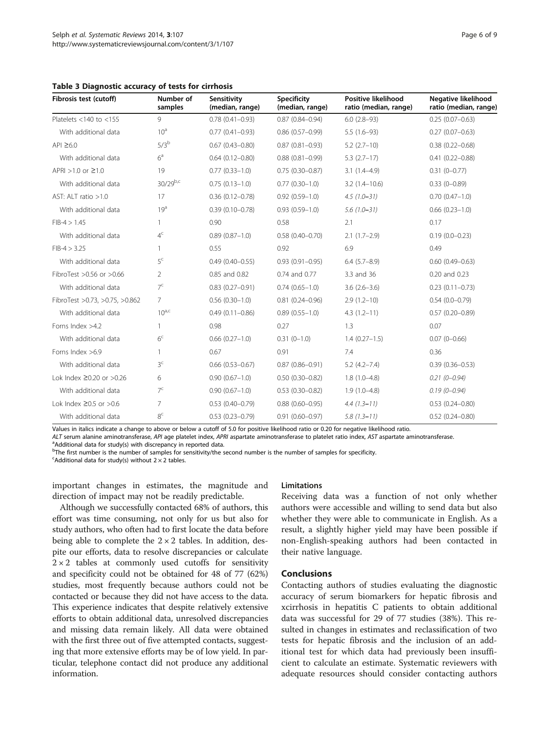<span id="page-5-0"></span>

| Table 3 Diagnostic accuracy of tests for cirrhosis |           |             |  |
|----------------------------------------------------|-----------|-------------|--|
| Fibrosis test (cutoff)                             | Number of | Sensitivity |  |

| Fibrosis test (cutoff)            | Number of<br>samples | Sensitivity<br>(median, range) | <b>Specificity</b><br>(median, range) | <b>Positive likelihood</b><br>ratio (median, range) | <b>Negative likelihood</b><br>ratio (median, range) |
|-----------------------------------|----------------------|--------------------------------|---------------------------------------|-----------------------------------------------------|-----------------------------------------------------|
| Platelets $<$ 140 to $<$ 155      | 9                    | $0.78(0.41 - 0.93)$            | $0.87(0.84 - 0.94)$                   | $6.0(2.8-93)$                                       | $0.25(0.07-0.63)$                                   |
| With additional data              | 10 <sup>a</sup>      | $0.77(0.41 - 0.93)$            | $0.86(0.57-0.99)$                     | $5.5(1.6-93)$                                       | $0.27(0.07 - 0.63)$                                 |
| $API \geq 6.0$                    | 5/3 <sup>b</sup>     | $0.67(0.43 - 0.80)$            | $0.87(0.81 - 0.93)$                   | $5.2(2.7-10)$                                       | $0.38(0.22 - 0.68)$                                 |
| With additional data              | 6 <sup>a</sup>       | $0.64(0.12 - 0.80)$            | $0.88(0.81 - 0.99)$                   | $5.3(2.7-17)$                                       | $0.41(0.22 - 0.88)$                                 |
| APRI > 1.0 or $\geq$ 1.0          | 19                   | $0.77(0.33 - 1.0)$             | $0.75(0.30 - 0.87)$                   | $3.1(1.4-4.9)$                                      | $0.31(0-0.77)$                                      |
| With additional data              | $30/29^{b,c}$        | $0.75(0.13-1.0)$               | $0.77(0.30-1.0)$                      | $3.2(1.4 - 10.6)$                                   | $0.33(0 - 0.89)$                                    |
| AST: $ALT$ ratio $>1.0$           | 17                   | $0.36(0.12 - 0.78)$            | $0.92(0.59 - 1.0)$                    | $4.5(1.0-31)$                                       | $0.70(0.47-1.0)$                                    |
| With additional data              | 19 <sup>a</sup>      | $0.39(0.10 - 0.78)$            | $0.93(0.59 - 1.0)$                    | $5.6(1.0 - 31)$                                     | $0.66$ $(0.23-1.0)$                                 |
| $FIB-4 > 1.45$                    | 1                    | 0.90                           | 0.58                                  | 2.1                                                 | 0.17                                                |
| With additional data              | 4 <sup>c</sup>       | $0.89(0.87-1.0)$               | $0.58(0.40 - 0.70)$                   | $2.1(1.7-2.9)$                                      | $0.19(0.0 - 0.23)$                                  |
| $FIB-4 > 3.25$                    | 1.                   | 0.55                           | 0.92                                  | 6.9                                                 | 0.49                                                |
| With additional data              | 5 <sup>c</sup>       | $0.49(0.40 - 0.55)$            | $0.93(0.91 - 0.95)$                   | $6.4$ $(5.7-8.9)$                                   | $0.60(0.49 - 0.63)$                                 |
| FibroTest > 0.56 or > 0.66        | 2                    | 0.85 and 0.82                  | 0.74 and 0.77                         | 3.3 and 36                                          | 0.20 and 0.23                                       |
| With additional data              | 7 <sup>c</sup>       | $0.83(0.27 - 0.91)$            | $0.74(0.65 - 1.0)$                    | $3.6(2.6-3.6)$                                      | $0.23$ $(0.11 - 0.73)$                              |
| FibroTest > 0.73, > 0.75, > 0.862 | $\overline{7}$       | $0.56(0.30-1.0)$               | $0.81(0.24 - 0.96)$                   | $2.9(1.2-10)$                                       | $0.54(0.0-0.79)$                                    |
| With additional data              | $10^{a,c}$           | $0.49(0.11 - 0.86)$            | $0.89(0.55 - 1.0)$                    | $4.3(1.2-11)$                                       | $0.57(0.20 - 0.89)$                                 |
| Forns Index >4.2                  | $\mathbf{1}$         | 0.98                           | 0.27                                  | 1.3                                                 | 0.07                                                |
| With additional data              | 6 <sup>c</sup>       | $0.66$ $(0.27-1.0)$            | $0.31(0-1.0)$                         | $1.4(0.27-1.5)$                                     | $0.07(0 - 0.66)$                                    |
| Forns Index >6.9                  | $\mathbf{1}$         | 0.67                           | 0.91                                  | 7.4                                                 | 0.36                                                |
| With additional data              | 3 <sup>c</sup>       | $0.66$ $(0.53 - 0.67)$         | $0.87(0.86 - 0.91)$                   | $5.2(4.2 - 7.4)$                                    | $0.39(0.36 - 0.53)$                                 |
| Lok Index ≥0.20 or >0.26          | 6                    | $0.90(0.67 - 1.0)$             | $0.50(0.30 - 0.82)$                   | $1.8(1.0-4.8)$                                      | $0.21(0 - 0.94)$                                    |
| With additional data              | 7 <sup>c</sup>       | $0.90(0.67 - 1.0)$             | $0.53(0.30 - 0.82)$                   | $1.9(1.0-4.8)$                                      | $0.19(0 - 0.94)$                                    |
| Lok Index $\geq$ 0.5 or $>$ 0.6   | $\overline{7}$       | $0.53(0.40 - 0.79)$            | $0.88(0.60 - 0.95)$                   | $4.4(1.3-11)$                                       | $0.53(0.24 - 0.80)$                                 |
| With additional data              | 8 <sup>c</sup>       | $0.53(0.23 - 0.79)$            | $0.91(0.60 - 0.97)$                   | $5.8(1.3 - 11)$                                     | $0.52(0.24 - 0.80)$                                 |

Values in italics indicate a change to above or below a cutoff of 5.0 for positive likelihood ratio or 0.20 for negative likelihood ratio.

ALT serum alanine aminotransferase, API age platelet index, APRI aspartate aminotransferase to platelet ratio index, AST aspartate aminotransferase. <sup>a</sup>Additional data for study(s) with discrepancy in reported data.

<sup>b</sup>The first number is the number of samples for sensitivity/the second number is the number of samples for specificity.

 $c$ Additional data for study(s) without  $2 \times 2$  tables.

important changes in estimates, the magnitude and direction of impact may not be readily predictable.

# Although we successfully contacted 68% of authors, this effort was time consuming, not only for us but also for study authors, who often had to first locate the data before being able to complete the  $2 \times 2$  tables. In addition, despite our efforts, data to resolve discrepancies or calculate  $2 \times 2$  tables at commonly used cutoffs for sensitivity and specificity could not be obtained for 48 of 77 (62%) studies, most frequently because authors could not be contacted or because they did not have access to the data. This experience indicates that despite relatively extensive efforts to obtain additional data, unresolved discrepancies and missing data remain likely. All data were obtained with the first three out of five attempted contacts, suggesting that more extensive efforts may be of low yield. In particular, telephone contact did not produce any additional information.

## Limitations

Receiving data was a function of not only whether authors were accessible and willing to send data but also whether they were able to communicate in English. As a result, a slightly higher yield may have been possible if non-English-speaking authors had been contacted in their native language.

# Conclusions

Contacting authors of studies evaluating the diagnostic accuracy of serum biomarkers for hepatic fibrosis and xcirrhosis in hepatitis C patients to obtain additional data was successful for 29 of 77 studies (38%). This resulted in changes in estimates and reclassification of two tests for hepatic fibrosis and the inclusion of an additional test for which data had previously been insufficient to calculate an estimate. Systematic reviewers with adequate resources should consider contacting authors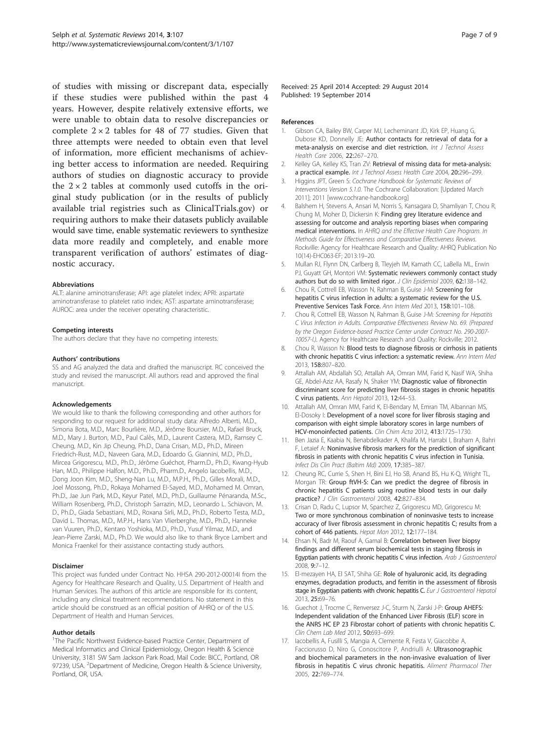<span id="page-6-0"></span>of studies with missing or discrepant data, especially if these studies were published within the past 4 years. However, despite relatively extensive efforts, we were unable to obtain data to resolve discrepancies or complete  $2 \times 2$  tables for 48 of 77 studies. Given that three attempts were needed to obtain even that level of information, more efficient mechanisms of achieving better access to information are needed. Requiring authors of studies on diagnostic accuracy to provide the  $2 \times 2$  tables at commonly used cutoffs in the original study publication (or in the results of publicly available trial registries such as ClinicalTrials.gov) or requiring authors to make their datasets publicly available would save time, enable systematic reviewers to synthesize data more readily and completely, and enable more transparent verification of authors' estimates of diagnostic accuracy.

### Abbreviations

ALT: alanine aminotransferase; API: age platelet index; APRI: aspartate aminotransferase to platelet ratio index; AST: aspartate aminotransferase; AUROC: area under the receiver operating characteristic.

#### Competing interests

The authors declare that they have no competing interests.

#### Authors' contributions

SS and AG analyzed the data and drafted the manuscript. RC conceived the study and revised the manuscript. All authors read and approved the final manuscript.

#### Acknowledgements

We would like to thank the following corresponding and other authors for responding to our request for additional study data: Alfredo Alberti, M.D., Simona Bota, M.D., Marc Bourlière, M.D., Jérôme Boursier, M.D., Rafael Bruck, M.D., Mary J. Burton, M.D., Paul Calès, M.D., Laurent Castera, M.D., Ramsey C. Cheung, M.D., Kin Jip Cheung, Ph.D., Dana Crisan, M.D., Ph.D., Mireen Friedrich-Rust, M.D., Naveen Gara, M.D., Edoardo G. Giannini, M.D., Ph.D., Mircea Grigorescu, M.D., Ph.D., Jérôme Guéchot, Pharm.D., Ph.D., Kwang-Hyub Han, M.D., Philippe Halfon, M.D., Ph.D., Pharm.D., Angelo Iacobellis, M.D., Dong Joon Kim, M.D., Sheng-Nan Lu, M.D., M.P.H., Ph.D., Gilles Morali, M.D., Joel Mossong, Ph.D., Rokaya Mohamed El-Sayed, M.D., Mohamed M. Omran, Ph.D., Jae Jun Park, M.D., Keyur Patel, M.D., Ph.D., Guillaume Pénaranda, M.Sc., William Rosenberg, Ph.D., Christoph Sarrazin, M.D., Leonardo L. Schiavon, M. D., Ph.D., Giada Sebastiani, M.D., Roxana Sirli, M.D., Ph.D., Roberto Testa, M.D., David L. Thomas, M.D., M.P.H., Hans Van Vlierberghe, M.D., Ph.D., Hanneke van Vuuren, Ph.D., Kentaro Yoshioka, M.D., Ph.D., Yusuf Yilmaz, M.D., and Jean-Pierre Zarski, M.D., Ph.D. We would also like to thank Bryce Lambert and Monica Fraenkel for their assistance contacting study authors.

#### Disclaimer

This project was funded under Contract No. HHSA 290-2012-00014I from the Agency for Healthcare Research and Quality, U.S. Department of Health and Human Services. The authors of this article are responsible for its content, including any clinical treatment recommendations. No statement in this article should be construed as an official position of AHRQ or of the U.S. Department of Health and Human Services.

## Author details

<sup>1</sup>The Pacific Northwest Evidence-based Practice Center, Department of Medical Informatics and Clinical Epidemiology, Oregon Health & Science University, 3181 SW Sam Jackson Park Road, Mail Code: BICC, Portland, OR 97239, USA. <sup>2</sup> Department of Medicine, Oregon Health & Science University, Portland, OR, USA.

Received: 25 April 2014 Accepted: 29 August 2014 Published: 19 September 2014

#### References

- 1. Gibson CA, Bailey BW, Carper MJ, Lecheminant JD, Kirk EP, Huang G, Dubose KD, Donnelly JE: Author contacts for retrieval of data for a meta-analysis on exercise and diet restriction. Int J Technol Assess Health Care 2006, 22:267–270.
- 2. Kelley GA, Kelley KS, Tran ZV: Retrieval of missing data for meta-analysis: a practical example. Int J Technol Assess Health Care 2004, 20:296-299.
- 3. Higgins JPT, Green S: Cochrane Handbook for Systematic Reviews of Interventions Version 5.1.0. The Cochrane Collaboration: [Updated March 2011]; 2011 [\[www.cochrane-handbook.org\]](http://www.cochrane-handbook.org)
- 4. Balshem H, Stevens A, Ansari M, Norris S, Kansagara D, Shamliyan T, Chou R, Chung M, Moher D, Dickersin K: Finding grey literature evidence and assessing for outcome and analysis reporting biases when comparing medical interventions. In AHRQ and the Effective Health Care Program. In Methods Guide for Effectiveness and Comparative Effectiveness Reviews. Rockville: Agency for Healthcare Research and Quality: AHRQ Publication No 10(14)-EHC063-EF; 2013:19–20.
- 5. Mullan RJ, Flynn DN, Carlberg B, Tleyjeh IM, Kamath CC, LaBella ML, Erwin PJ, Guyatt GH, Montori VM: Systematic reviewers commonly contact study authors but do so with limited rigor. J Clin Epidemiol 2009, 62:138-142.
- 6. Chou R, Cottrell EB, Wasson N, Rahman B, Guise J-M: Screening for hepatitis C virus infection in adults: a systematic review for the U.S. Preventive Services Task Force. Ann Intern Med 2013, 158:101–108.
- 7. Chou R, Cottrell EB, Wasson N, Rahman B, Guise J-M: Screening for Hepatitis C Virus Infection in Adults. Comparative Effectiveness Review No. 69. (Prepared by the Oregon Evidence-based Practice Center under Contract No. 290-2007- 10057-I.). Agency for Healthcare Research and Quality: Rockville; 2012.
- 8. Chou R, Wasson N: Blood tests to diagnose fibrosis or cirrhosis in patients with chronic hepatitis C virus infection: a systematic review. Ann Intern Med 2013, 158:807–820.
- 9. Attallah AM, Abdallah SO, Attallah AA, Omran MM, Farid K, Nasif WA, Shiha GE, Abdel-Aziz AA, Rasafy N, Shaker YM: Diagnostic value of fibronectin discriminant score for predicting liver fibrosis stages in chronic hepatitis C virus patients. Ann Hepatol 2013, 12:44–53.
- 10. Attallah AM, Omran MM, Farid K, El-Bendary M, Emran TM, Albannan MS, El-Dosoky I: Development of a novel score for liver fibrosis staging and comparison with eight simple laboratory scores in large numbers of HCV-monoinfected patients. Clin Chim Acta 2012, 413:1725–1730.
- 11. Ben Jazia E, Kaabia N, Benabdelkader A, Khalifa M, Harrabi I, Braham A, Bahri F, Letaief A: Noninvasive fibrosis markers for the prediction of significant fibrosis in patients with chronic hepatitis C virus infection in Tunisia. Infect Dis Clin Pract (Baltim Md) 2009, 17:385–387.
- 12. Cheung RC, Currie S, Shen H, Bini EJ, Ho SB, Anand BS, Hu K-Q, Wright TL, Morgan TR: Group ftVH-S: Can we predict the degree of fibrosis in chronic hepatitis C patients using routine blood tests in our daily practice? J Clin Gastroenterol 2008, 42:827–834.
- 13. Crisan D, Radu C, Lupsor M, Sparchez Z, Grigorescu MD, Grigorescu M: Two or more synchronous combination of noninvasive tests to increase accuracy of liver fibrosis assessment in chronic hepatitis C; results from a cohort of 446 patients. Hepat Mon 2012, 12:177–184.
- 14. Ehsan N, Badr M, Raouf A, Gamal B: Correlation between liver biopsy findings and different serum biochemical tests in staging fibrosis in Egyptian patients with chronic hepatitis C virus infection. Arab J Gastroenterol 2008, 9:7–12.
- 15. El-mezayen HA, El SAT, Shiha GE: Role of hyaluronic acid, its degrading enzymes, degradation products, and ferritin in the assessment of fibrosis stage in Egyptian patients with chronic hepatitis C. Eur J Gastroenterol Hepatol 2013, 25:69–76.
- 16. Guechot J, Trocme C, Renversez J-C, Sturm N, Zarski J-P: Group AHEFS: Independent validation of the Enhanced Liver Fibrosis (ELF) score in the ANRS HC EP 23 Fibrostar cohort of patients with chronic hepatitis C. Clin Chem Lab Med 2012, 50:693–699.
- 17. Iacobellis A, Fusilli S, Mangia A, Clemente R, Festa V, Giacobbe A, Facciorusso D, Niro G, Conoscitore P, Andriulli A: Ultrasonographic and biochemical parameters in the non-invasive evaluation of liver fibrosis in hepatitis C virus chronic hepatitis. Aliment Pharmacol Ther 2005, 22:769–774.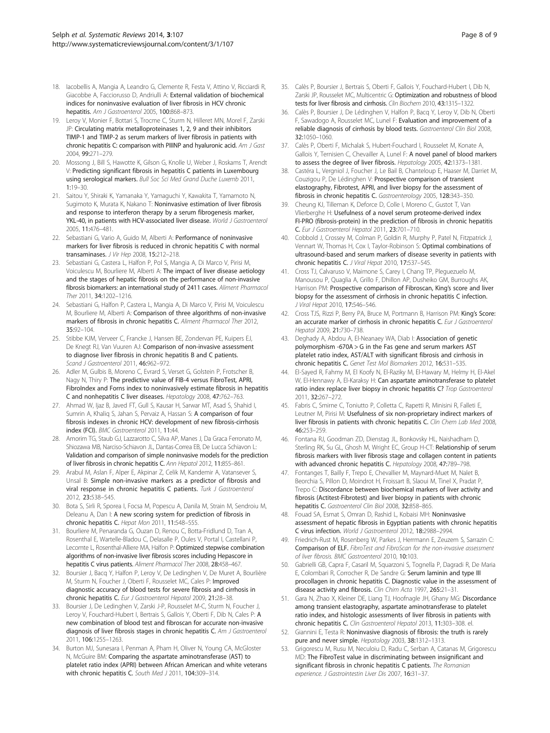- <span id="page-7-0"></span>18. Iacobellis A, Mangia A, Leandro G, Clemente R, Festa V, Attino V, Ricciardi R, Giacobbe A, Facciorusso D, Andriulli A: External validation of biochemical indices for noninvasive evaluation of liver fibrosis in HCV chronic hepatitis. Am J Gastroenterol 2005, 100:868–873.
- 19. Leroy V, Monier F, Bottari S, Trocme C, Sturm N, Hilleret MN, Morel F, Zarski JP: Circulating matrix metalloproteinases 1, 2, 9 and their inhibitors TIMP-1 and TIMP-2 as serum markers of liver fibrosis in patients with chronic hepatitis C: comparison with PIIINP and hyaluronic acid. Am J Gast 2004, 99:271–279.
- 20. Mossong J, Bill S, Hawotte K, Gilson G, Knolle U, Weber J, Roskams T, Arendt V: Predicting significant fibrosis in hepatitis C patients in Luxembourg using serological markers. Bull Soc Sci Med Grand Duche Luxemb 2011, 1:19–30.
- 21. Saitou Y, Shiraki K, Yamanaka Y, Yamaguchi Y, Kawakita T, Yamamoto N, Sugimoto K, Murata K, Nakano T: Noninvasive estimation of liver fibrosis and response to interferon therapy by a serum fibrogenesis marker, YKL-40, in patients with HCV-associated liver disease. World J Gastroenterol 2005, 11:476–481.
- 22. Sebastiani G, Vario A, Guido M, Alberti A: Performance of noninvasive markers for liver fibrosis is reduced in chronic hepatitis C with normal transaminases. J Vir Hep 2008, 15:212–218.
- 23. Sebastiani G, Castera L, Halfon P, Pol S, Mangia A, Di Marco V, Pirisi M, Voiculescu M, Bourliere M, Alberti A: The impact of liver disease aetiology and the stages of hepatic fibrosis on the performance of non-invasive fibrosis biomarkers: an international study of 2411 cases. Aliment Pharmacol Ther 2011, 34:1202–1216.
- 24. Sebastiani G, Halfon P, Castera L, Mangia A, Di Marco V, Pirisi M, Voiculescu M, Bourliere M, Alberti A: Comparison of three algorithms of non-invasive markers of fibrosis in chronic hepatitis C. Aliment Pharmacol Ther 2012, 35:92–104.
- 25. Stibbe KJM, Verveer C, Francke J, Hansen BE, Zondervan PE, Kuipers EJ, De Knegt RJ, Van Vuuren AJ: Comparison of non-invasive assessment to diagnose liver fibrosis in chronic hepatitis B and C patients. Scand J Gastroenterol 2011, 46:962–972.
- 26. Adler M, Gulbis B, Moreno C, Evrard S, Verset G, Golstein P, Frotscher B, Nagy N, Thiry P: The predictive value of FIB-4 versus FibroTest, APRI, FibroIndex and Forns index to noninvasively estimate fibrosis in hepatitis C and nonhepatitis C liver diseases. Hepatology 2008, 47:762–763.
- 27. Ahmad W, Ijaz B, Javed FT, Gull S, Kausar H, Sarwar MT, Asad S, Shahid I, Sumrin A, Khaliq S, Jahan S, Pervaiz A, Hassan S: A comparison of four fibrosis indexes in chronic HCV: development of new fibrosis-cirrhosis index (FCI). BMC Gastroenterol 2011, 11:44.
- 28. Amorim TG, Staub GJ, Lazzarotto C, Silva AP, Manes J, Da Graca Ferronato M, Shiozawa MB, Narciso-Schiavon JL, Dantas-Correa EB, De Lucca Schiavon L: Validation and comparison of simple noninvasive models for the prediction of liver fibrosis in chronic hepatitis C. Ann Hepatol 2012, 11:855–861.
- 29. Arabul M, Aslan F, Alper E, Akpinar Z, Celik M, Kandemir A, Vatansever S, Unsal B: Simple non-invasive markers as a predictor of fibrosis and viral response in chronic hepatitis C patients. Turk J Gastroenterol 2012, 23:538–545.
- 30. Bota S, Sirli R, Sporea I, Focsa M, Popescu A, Danila M, Strain M, Sendroiu M, Deleanu A, Dan I: A new scoring system for prediction of fibrosis in chronic hepatitis C. Hepat Mon 2011, 11:548–555.
- 31. Bourliere M, Penaranda G, Ouzan D, Renou C, Botta-Fridlund D, Tran A, Rosenthal E, Wartelle-Bladou C, Delasalle P, Oules V, Portal I, Castellani P, Lecomte L, Rosenthal-Alliere MA, Halfon P: Optimized stepwise combination algorithms of non-invasive liver fibrosis scores including Hepascore in hepatitis C virus patients. Aliment Pharmacol Ther 2008, 28:458–467.
- 32. Boursier J, Bacq Y, Halfon P, Leroy V, De Ledinghen V, De Muret A, Bourlière M, Sturm N, Foucher J, Oberti F, Rousselet MC, Cales P: Improved diagnostic accuracy of blood tests for severe fibrosis and cirrhosis in chronic hepatitis C. Eur J Gastroenterol Hepatol 2009, 21:28–38.
- 33. Boursier J, De Ledinghen V, Zarski J-P, Rousselet M-C, Sturm N, Foucher J, Leroy V, Fouchard-Hubert I, Bertrais S, Gallois Y, Oberti F, Dib N, Cales P: A new combination of blood test and fibroscan for accurate non-invasive diagnosis of liver fibrosis stages in chronic hepatitis C. Am J Gastroenterol 2011, 106:1255–1263.
- 34. Burton MJ, Sunesara I, Penman A, Pham H, Oliver N, Young CA, McGloster N, McGuire BM: Comparing the aspartate aminotransferase (AST) to platelet ratio index (APRI) between African American and white veterans with chronic hepatitis C. South Med J 2011, 104:309–314.
- 35. Calès P, Boursier J, Bertrais S, Oberti F, Gallois Y, Fouchard-Hubert I, Dib N, Zarski JP, Rousselet MC, Multicentric G: Optimization and robustness of blood tests for liver fibrosis and cirrhosis. Clin Biochem 2010, 43:1315–1322.
- 36. Calès P, Boursier J, De Lédinghen V, Halfon P, Bacq Y, Leroy V, Dib N, Oberti F, Sawadogo A, Rousselet MC, Lunel F: Evaluation and improvement of a reliable diagnosis of cirrhosis by blood tests. Gastroenterol Clin Biol 2008, 32:1050–1060.
- 37. Calès P, Oberti F, Michalak S, Hubert-Fouchard I, Rousselet M, Konate A, Gallois Y, Ternisien C, Chevailler A, Lunel F: A novel panel of blood markers to assess the degree of liver fibrosis. Hepatology 2005, 42:1373–1381.
- Castéra L, Vergniol J, Foucher J, Le Bail B, Chanteloup E, Haaser M, Darriet M, Couzigou P, De Lédinghen V: Prospective comparison of transient elastography, Fibrotest, APRI, and liver biopsy for the assessment of fibrosis in chronic hepatitis C. Gastroenterology 2005, 128:343–350.
- 39. Cheung KJ, Tilleman K, Deforce D, Colle I, Moreno C, Gustot T, Van Vlierberghe H: Usefulness of a novel serum proteome-derived index FI-PRO (fibrosis-protein) in the prediction of fibrosis in chronic hepatitis C. Eur J Gastroenterol Hepatol 2011, 23:701–710.
- 40. Cobbold J, Crossey M, Colman P, Goldin R, Murphy P, Patel N, Fitzpatrick J, Vennart W, Thomas H, Cox I, Taylor-Robinson S: Optimal combinations of ultrasound-based and serum markers of disease severity in patients with chronic hepatitis C. J Viral Hepat 2010, 17:537–545.
- 41. Cross TJ, Calvaruso V, Maimone S, Carey I, Chang TP, Pleguezuelo M, Manousou P, Quaglia A, Grillo F, Dhillon AP, Dusheiko GM, Burroughs AK, Harrison PM: Prospective comparison of Fibroscan, King's score and liver biopsy for the assessment of cirrhosis in chronic hepatitis C infection. J Viral Hepat 2010, 17:546–546.
- 42. Cross TJS, Rizzi P, Berry PA, Bruce M, Portmann B, Harrison PM: King's Score: an accurate marker of cirrhosis in chronic hepatitis C. Eur J Gastroenterol Hepatol 2009, 21:730–738.
- 43. Deghady A, Abdou A, El-Neanaey WA, Diab I: Association of genetic polymorphism -670A > G in the Fas gene and serum markers AST platelet ratio index, AST/ALT with significant fibrosis and cirrhosis in chronic hepatitis C. Genet Test Mol Biomarkers 2012, 16:531–535.
- 44. El-Sayed R, Fahmy M, El Koofy N, El-Raziky M, El-Hawary M, Helmy H, El-Akel W, El-Hennawy A, El-Karaksy H: Can aspartate aminotransferase to platelet ratio index replace liver biopsy in chronic hepatitis C? Trop Gastroenterol 2011, 32:267–272.
- 45. Fabris C, Smirne C, Toniutto P, Colletta C, Rapetti R, Minisini R, Falleti E, Leutner M, Pirisi M: Usefulness of six non-proprietary indirect markers of liver fibrosis in patients with chronic hepatitis C. Clin Chem Lab Med 2008, 46:253–259.
- 46. Fontana RJ, Goodman ZD, Dienstag JL, Bonkovsky HL, Naishadham D, Sterling RK, Su GL, Ghosh M, Wright EC, Group H-CT: Relationship of serum fibrosis markers with liver fibrosis stage and collagen content in patients with advanced chronic hepatitis C. Hepatology 2008, 47:789–798.
- 47. Fontanges T, Bailly F, Trepo E, Chevallier M, Maynard-Muet M, Nalet B, Beorchia S, Pillon D, Moindrot H, Froissart B, Slaoui M, Tinel X, Pradat P, Trepo C: Discordance between biochemical markers of liver activity and fibrosis (Actitest-Fibrotest) and liver biopsy in patients with chronic hepatitis C. Gastroenterol Clin Biol 2008, 32:858-865.
- 48. Fouad SA, Esmat S, Omran D, Rashid L, Kobaisi MH: Noninvasive assessment of hepatic fibrosis in Egyptian patients with chronic hepatitis C virus infection. World J Gastroenterol 2012, 18:2988–2994.
- 49. Friedrich-Rust M, Rosenberg W, Parkes J, Herrmann E, Zeuzem S, Sarrazin C: Comparison of ELF. FibroTest and FibroScan for the non-invasive assessment of liver fibrosis. BMC Gastroenterol 2010, 10:103.
- 50. Gabrielli GB, Capra F, Casaril M, Squarzoni S, Tognella P, Dagradi R, De Maria E, Colombari R, Corrocher R, De Sandre G: Serum laminin and type III procollagen in chronic hepatitis C. Diagnostic value in the assessment of disease activity and fibrosis. Clin Chim Acta 1997, 265:21-31.
- 51. Gara N, Zhao X, Kleiner DE, Liang TJ, Hoofnagle JH, Ghany MG: Discordance among transient elastography, aspartate aminotransferase to platelet ratio index, and histologic assessments of liver fibrosis in patients with chronic hepatitis C. Clin Gastroenterol Hepatol 2013, 11:303–308. el.
- 52. Giannini E, Testa R: Noninvasive diagnosis of fibrosis: the truth is rarely pure and never simple. Hepatology 2003, 38:1312–1313.
- 53. Grigorescu M, Rusu M, Neculoiu D, Radu C, Serban A, Catanas M, Grigorescu MD: The FibroTest value in discriminating between insignificant and significant fibrosis in chronic hepatitis C patients. The Romanian experience. J Gastrointestin Liver Dis 2007, 16:31–37.